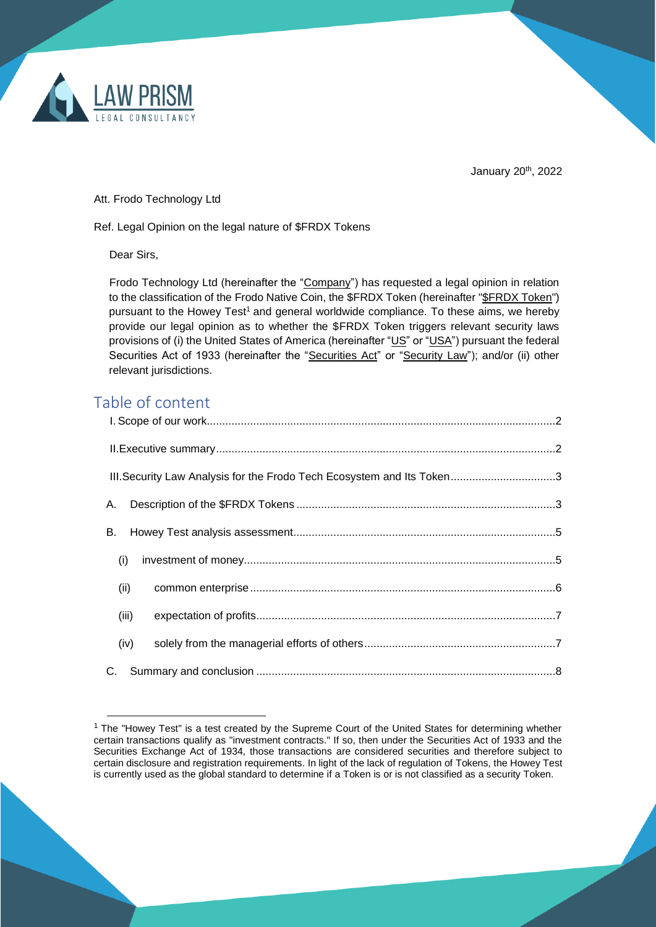

January 20<sup>th</sup>, 2022

Att. Frodo Technology Ltd

Ref. Legal Opinion on the legal nature of \$FRDX Tokens

Dear Sirs,

Frodo Technology Ltd (hereinafter the "Company") has requested a legal opinion in relation to the classification of the Frodo Native Coin, the \$FRDX Token (hereinafter "\$FRDX Token") pursuant to the Howey Test<sup>1</sup> and general worldwide compliance. To these aims, we hereby provide our legal opinion as to whether the \$FRDX Token triggers relevant security laws provisions of (i) the United States of America (hereinafter "US" or "USA") pursuant the federal Securities Act of 1933 (hereinafter the "Securities Act" or "Security Law"); and/or (ii) other relevant jurisdictions.

# Table of content

| III. Security Law Analysis for the Frodo Tech Ecosystem and Its Token3 |  |
|------------------------------------------------------------------------|--|
| А.                                                                     |  |
| B.                                                                     |  |
| (i)                                                                    |  |
| (ii)                                                                   |  |
| (iii)                                                                  |  |
| (iv)                                                                   |  |
|                                                                        |  |

 $1$  The "Howey Test" is a test created by the Supreme Court of the United States for determining whether certain transactions qualify as "investment contracts." If so, then under the Securities Act of 1933 and the Securities Exchange Act of 1934, those transactions are considered securities and therefore subject to certain disclosure and registration requirements. In light of the lack of regulation of Tokens, the Howey Test is currently used as the global standard to determine if a Token is or is not classified as a security Token.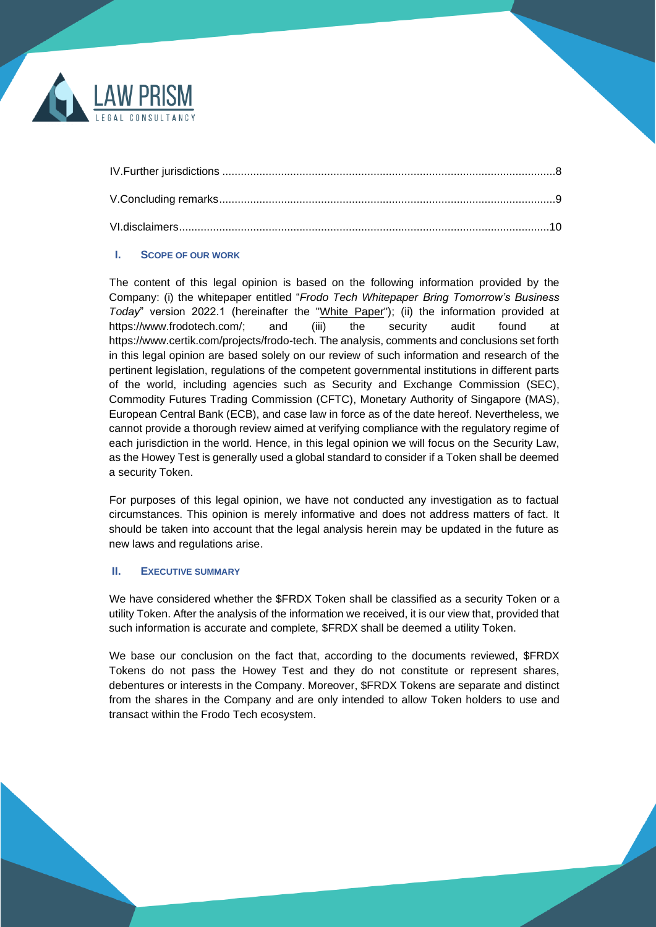

## <span id="page-1-0"></span>**I. SCOPE OF OUR WORK**

The content of this legal opinion is based on the following information provided by the Company: (i) the whitepaper entitled "*Frodo Tech Whitepaper Bring Tomorrow's Business Today*" version 2022.1 (hereinafter the "White Paper"); (ii) the information provided at https://www.frodotech.com/; and (iii) the security audit found at https://www.certik.com/projects/frodo-tech. The analysis, comments and conclusions set forth in this legal opinion are based solely on our review of such information and research of the pertinent legislation, regulations of the competent governmental institutions in different parts of the world, including agencies such as Security and Exchange Commission (SEC), Commodity Futures Trading Commission (CFTC), Monetary Authority of Singapore (MAS), European Central Bank (ECB), and case law in force as of the date hereof. Nevertheless, we cannot provide a thorough review aimed at verifying compliance with the regulatory regime of each jurisdiction in the world. Hence, in this legal opinion we will focus on the Security Law, as the Howey Test is generally used a global standard to consider if a Token shall be deemed a security Token.

For purposes of this legal opinion, we have not conducted any investigation as to factual circumstances. This opinion is merely informative and does not address matters of fact. It should be taken into account that the legal analysis herein may be updated in the future as new laws and regulations arise.

## <span id="page-1-1"></span>**II. EXECUTIVE SUMMARY**

We have considered whether the \$FRDX Token shall be classified as a security Token or a utility Token. After the analysis of the information we received, it is our view that, provided that such information is accurate and complete, \$FRDX shall be deemed a utility Token.

We base our conclusion on the fact that, according to the documents reviewed, \$FRDX Tokens do not pass the Howey Test and they do not constitute or represent shares, debentures or interests in the Company. Moreover, \$FRDX Tokens are separate and distinct from the shares in the Company and are only intended to allow Token holders to use and transact within the Frodo Tech ecosystem.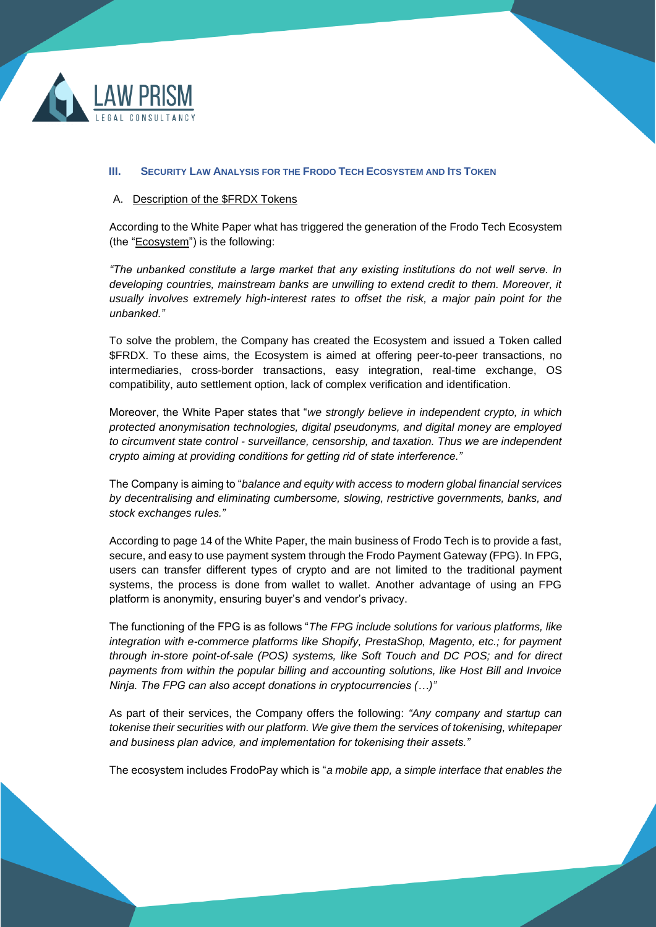

#### <span id="page-2-0"></span>**III. SECURITY LAW ANALYSIS FOR THE FRODO TECH ECOSYSTEM AND ITS TOKEN**

#### <span id="page-2-1"></span>A. Description of the \$FRDX Tokens

According to the White Paper what has triggered the generation of the Frodo Tech Ecosystem (the "Ecosystem") is the following:

*"The unbanked constitute a large market that any existing institutions do not well serve. In developing countries, mainstream banks are unwilling to extend credit to them. Moreover, it usually involves extremely high-interest rates to offset the risk, a major pain point for the unbanked."*

To solve the problem, the Company has created the Ecosystem and issued a Token called \$FRDX. To these aims, the Ecosystem is aimed at offering peer-to-peer transactions, no intermediaries, cross-border transactions, easy integration, real-time exchange, OS compatibility, auto settlement option, lack of complex verification and identification.

Moreover, the White Paper states that "*we strongly believe in independent crypto, in which protected anonymisation technologies, digital pseudonyms, and digital money are employed to circumvent state control - surveillance, censorship, and taxation. Thus we are independent crypto aiming at providing conditions for getting rid of state interference."*

The Company is aiming to "*balance and equity with access to modern global financial services by decentralising and eliminating cumbersome, slowing, restrictive governments, banks, and stock exchanges rules."*

According to page 14 of the White Paper, the main business of Frodo Tech is to provide a fast, secure, and easy to use payment system through the Frodo Payment Gateway (FPG). In FPG, users can transfer different types of crypto and are not limited to the traditional payment systems, the process is done from wallet to wallet. Another advantage of using an FPG platform is anonymity, ensuring buyer's and vendor's privacy.

The functioning of the FPG is as follows "*The FPG include solutions for various platforms, like integration with e-commerce platforms like Shopify, PrestaShop, Magento, etc.; for payment through in-store [point-of-sale \(](https://www.investopedia.com/terms/p/point-of-sale.asp)POS) systems, like Soft Touch and DC POS; and for direct payments from within the popular billing and accounting solutions, like Host Bill and Invoice Ninja. The FPG can also accept donations in cryptocurrencies (…)"*

As part of their services, the Company offers the following: *"Any company and startup can tokenise their securities with our platform. We give them the services of tokenising, whitepaper and business plan advice, and implementation for tokenising their assets."*

The ecosystem includes FrodoPay which is "*a mobile app, a simple interface that enables the*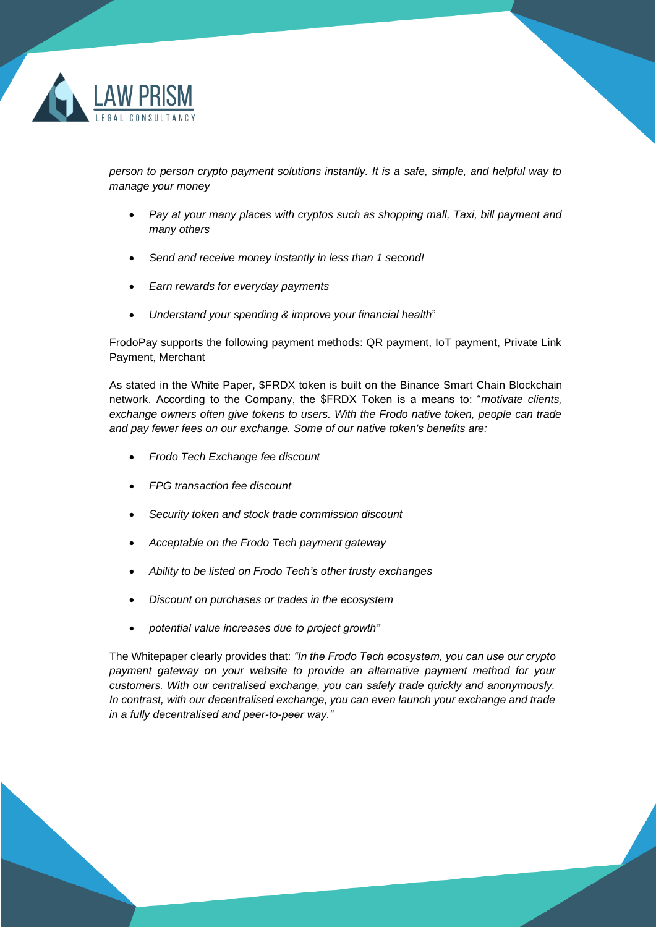

*person to person crypto payment solutions instantly. It is a safe, simple, and helpful way to manage your money*

- *Pay at your many places with cryptos such as shopping mall, Taxi, bill payment and many others*
- *Send and receive money instantly in less than 1 second!*
- *Earn rewards for everyday payments*
- *Understand your spending & improve your financial health*"

FrodoPay supports the following payment methods: QR payment, IoT payment, Private Link Payment, Merchant

As stated in the White Paper, \$FRDX token is built on the Binance Smart Chain Blockchain network. According to the Company, the \$FRDX Token is a means to: "*motivate clients, exchange owners often give tokens to users. With the Frodo native token, people can trade and pay fewer fees on our exchange. Some of our native token's benefits are:*

- *Frodo Tech Exchange fee discount*
- *FPG transaction fee discount*
- *Security token and stock trade commission discount*
- *Acceptable on the Frodo Tech payment gateway*
- *Ability to be listed on Frodo Tech's other trusty exchanges*
- *Discount on purchases or trades in the ecosystem*
- *potential value increases due to project growth"*

The Whitepaper clearly provides that: *"In the Frodo Tech ecosystem, you can use our crypto payment gateway on your website to provide an alternative payment method for your customers. With our centralised exchange, you can safely trade quickly and anonymously. In contrast, with our decentralised exchange, you can even launch your exchange and trade in a fully decentralised and peer-to-peer way."*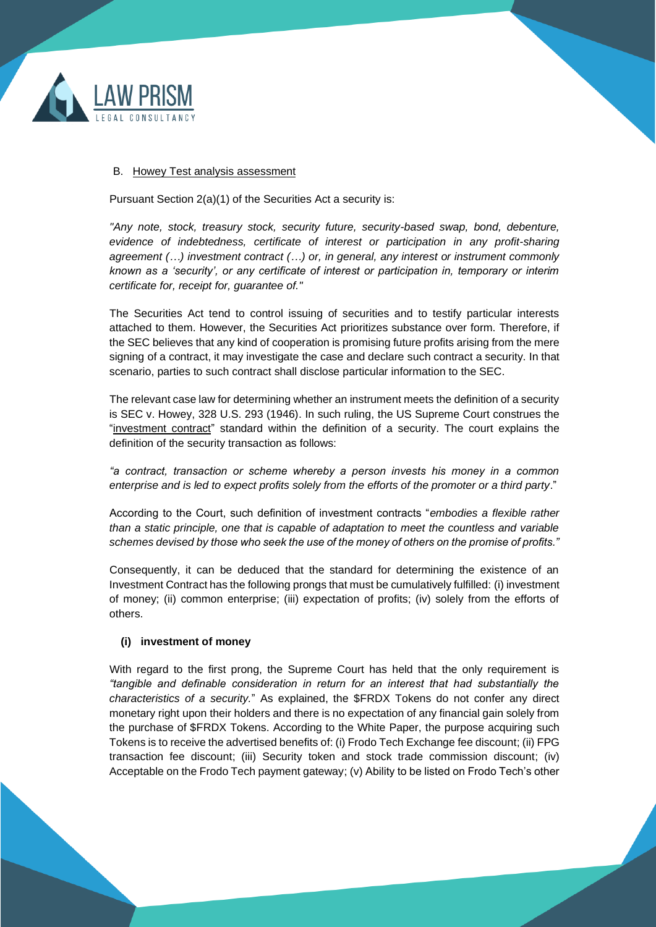

#### <span id="page-4-0"></span>B. Howey Test analysis assessment

Pursuant Section 2(a)(1) of the Securities Act a security is:

*"Any note, stock, treasury stock, security future, security-based swap, bond, debenture, evidence of indebtedness, certificate of interest or participation in any profit-sharing agreement (…) investment contract (…) or, in general, any interest or instrument commonly known as a 'security', or any certificate of interest or participation in, temporary or interim certificate for, receipt for, guarantee of."* 

The Securities Act tend to control issuing of securities and to testify particular interests attached to them. However, the Securities Act prioritizes substance over form. Therefore, if the SEC believes that any kind of cooperation is promising future profits arising from the mere signing of a contract, it may investigate the case and declare such contract a security. In that scenario, parties to such contract shall disclose particular information to the SEC.

The relevant case law for determining whether an instrument meets the definition of a security is SEC v. Howey, 328 U.S. 293 (1946). In such ruling, the US Supreme Court construes the "investment contract" standard within the definition of a security. The court explains the definition of the security transaction as follows:

*"a contract, transaction or scheme whereby a person invests his money in a common enterprise and is led to expect profits solely from the efforts of the promoter or a third party*."

According to the Court, such definition of investment contracts "*embodies a flexible rather than a static principle, one that is capable of adaptation to meet the countless and variable schemes devised by those who seek the use of the money of others on the promise of profits."*

Consequently, it can be deduced that the standard for determining the existence of an Investment Contract has the following prongs that must be cumulatively fulfilled: (i) investment of money; (ii) common enterprise; (iii) expectation of profits; (iv) solely from the efforts of others.

#### <span id="page-4-1"></span>**(i) investment of money**

With regard to the first prong, the Supreme Court has held that the only requirement is *"tangible and definable consideration in return for an interest that had substantially the characteristics of a security.*" As explained, the \$FRDX Tokens do not confer any direct monetary right upon their holders and there is no expectation of any financial gain solely from the purchase of \$FRDX Tokens. According to the White Paper, the purpose acquiring such Tokens is to receive the advertised benefits of: (i) Frodo Tech Exchange fee discount; (ii) FPG transaction fee discount; (iii) Security token and stock trade commission discount; (iv) Acceptable on the Frodo Tech payment gateway; (v) Ability to be listed on Frodo Tech's other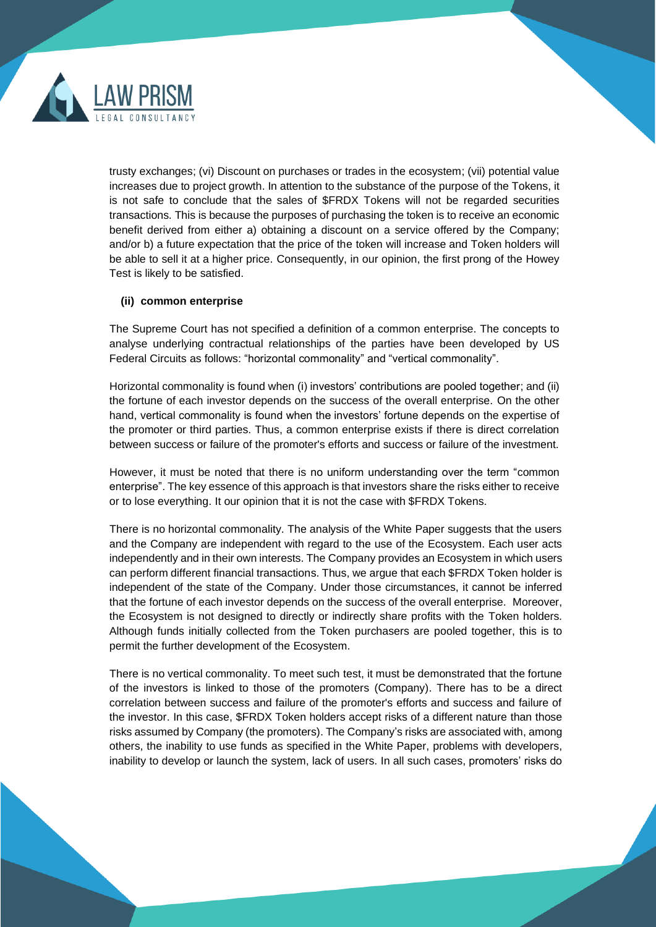

trusty exchanges; (vi) Discount on purchases or trades in the ecosystem; (vii) potential value increases due to project growth. In attention to the substance of the purpose of the Tokens, it is not safe to conclude that the sales of \$FRDX Tokens will not be regarded securities transactions. This is because the purposes of purchasing the token is to receive an economic benefit derived from either a) obtaining a discount on a service offered by the Company; and/or b) a future expectation that the price of the token will increase and Token holders will be able to sell it at a higher price. Consequently, in our opinion, the first prong of the Howey Test is likely to be satisfied.

#### <span id="page-5-0"></span>**(ii) common enterprise**

The Supreme Court has not specified a definition of a common enterprise. The concepts to analyse underlying contractual relationships of the parties have been developed by US Federal Circuits as follows: "horizontal commonality" and "vertical commonality".

Horizontal commonality is found when (i) investors' contributions are pooled together; and (ii) the fortune of each investor depends on the success of the overall enterprise. On the other hand, vertical commonality is found when the investors' fortune depends on the expertise of the promoter or third parties. Thus, a common enterprise exists if there is direct correlation between success or failure of the promoter's efforts and success or failure of the investment.

However, it must be noted that there is no uniform understanding over the term "common enterprise". The key essence of this approach is that investors share the risks either to receive or to lose everything. It our opinion that it is not the case with \$FRDX Tokens.

There is no horizontal commonality. The analysis of the White Paper suggests that the users and the Company are independent with regard to the use of the Ecosystem. Each user acts independently and in their own interests. The Company provides an Ecosystem in which users can perform different financial transactions. Thus, we argue that each \$FRDX Token holder is independent of the state of the Company. Under those circumstances, it cannot be inferred that the fortune of each investor depends on the success of the overall enterprise. Moreover, the Ecosystem is not designed to directly or indirectly share profits with the Token holders. Although funds initially collected from the Token purchasers are pooled together, this is to permit the further development of the Ecosystem.

There is no vertical commonality. To meet such test, it must be demonstrated that the fortune of the investors is linked to those of the promoters (Company). There has to be a direct correlation between success and failure of the promoter's efforts and success and failure of the investor. In this case, \$FRDX Token holders accept risks of a different nature than those risks assumed by Company (the promoters). The Company's risks are associated with, among others, the inability to use funds as specified in the White Paper, problems with developers, inability to develop or launch the system, lack of users. In all such cases, promoters' risks do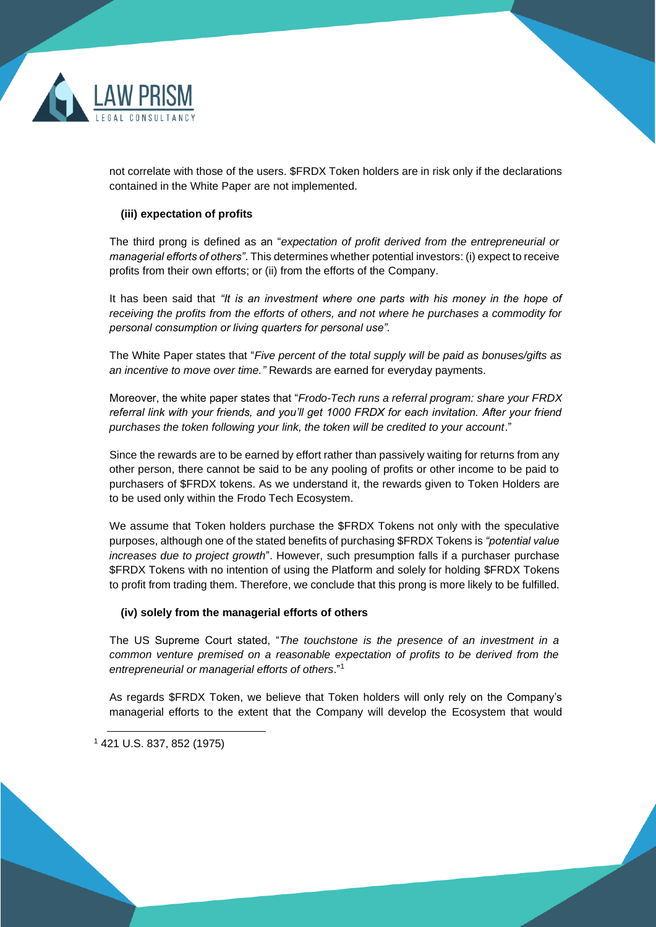

not correlate with those of the users. \$FRDX Token holders are in risk only if the declarations contained in the White Paper are not implemented.

### <span id="page-6-0"></span>**(iii) expectation of profits**

The third prong is defined as an "*expectation of profit derived from the entrepreneurial or managerial efforts of others"*. This determines whether potential investors: (i) expect to receive profits from their own efforts; or (ii) from the efforts of the Company.

It has been said that *"It is an investment where one parts with his money in the hope of receiving the profits from the efforts of others, and not where he purchases a commodity for personal consumption or living quarters for personal use".*

The White Paper states that "*Five percent of the total supply will be paid as bonuses/gifts as an incentive to move over time."* Rewards are earned for everyday payments.

Moreover, the white paper states that "*Frodo-Tech runs a referral program: share your FRDX referral link with your friends, and you'll get 1000 FRDX for each invitation. After your friend purchases the token following your link, the token will be credited to your account*."

Since the rewards are to be earned by effort rather than passively waiting for returns from any other person, there cannot be said to be any pooling of profits or other income to be paid to purchasers of \$FRDX tokens. As we understand it, the rewards given to Token Holders are to be used only within the Frodo Tech Ecosystem.

We assume that Token holders purchase the \$FRDX Tokens not only with the speculative purposes, although one of the stated benefits of purchasing \$FRDX Tokens is *"potential value increases due to project growth*". However, such presumption falls if a purchaser purchase \$FRDX Tokens with no intention of using the Platform and solely for holding \$FRDX Tokens to profit from trading them. Therefore, we conclude that this prong is more likely to be fulfilled.

#### <span id="page-6-1"></span>**(iv) solely from the managerial efforts of others**

The US Supreme Court stated, "*The touchstone is the presence of an investment in a common venture premised on a reasonable expectation of profits to be derived from the entrepreneurial or managerial efforts of others*."<sup>1</sup>

As regards \$FRDX Token, we believe that Token holders will only rely on the Company's managerial efforts to the extent that the Company will develop the Ecosystem that would

<sup>1</sup> 421 U.S. 837, 852 (1975)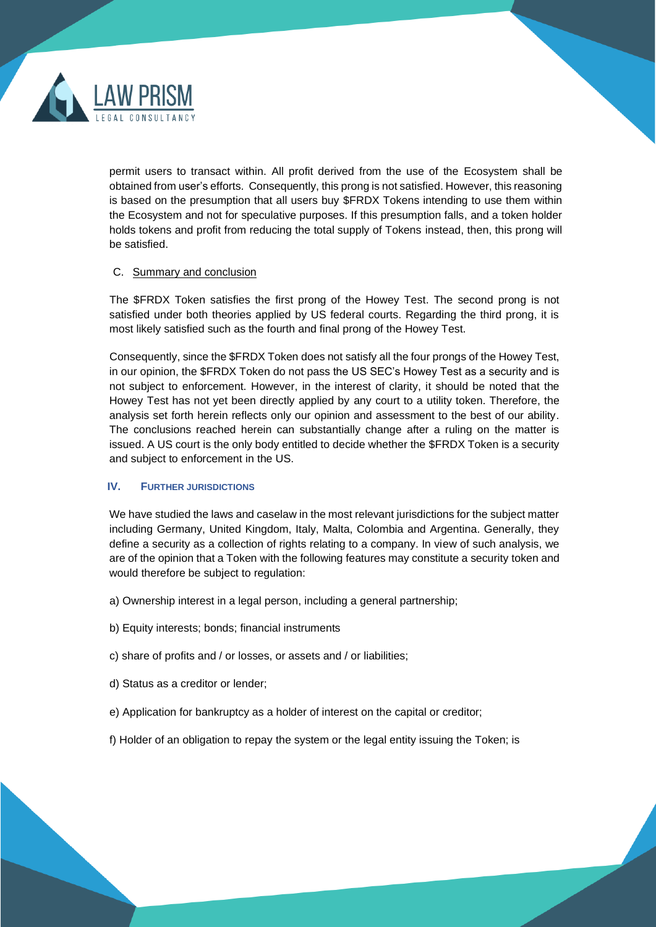

permit users to transact within. All profit derived from the use of the Ecosystem shall be obtained from user's efforts. Consequently, this prong is not satisfied. However, this reasoning is based on the presumption that all users buy \$FRDX Tokens intending to use them within the Ecosystem and not for speculative purposes. If this presumption falls, and a token holder holds tokens and profit from reducing the total supply of Tokens instead, then, this prong will be satisfied.

#### <span id="page-7-0"></span>C. Summary and conclusion

The \$FRDX Token satisfies the first prong of the Howey Test. The second prong is not satisfied under both theories applied by US federal courts. Regarding the third prong, it is most likely satisfied such as the fourth and final prong of the Howey Test.

Consequently, since the \$FRDX Token does not satisfy all the four prongs of the Howey Test, in our opinion, the \$FRDX Token do not pass the US SEC's Howey Test as a security and is not subject to enforcement. However, in the interest of clarity, it should be noted that the Howey Test has not yet been directly applied by any court to a utility token. Therefore, the analysis set forth herein reflects only our opinion and assessment to the best of our ability. The conclusions reached herein can substantially change after a ruling on the matter is issued. A US court is the only body entitled to decide whether the \$FRDX Token is a security and subject to enforcement in the US.

## <span id="page-7-1"></span>**IV. FURTHER JURISDICTIONS**

We have studied the laws and caselaw in the most relevant jurisdictions for the subject matter including Germany, United Kingdom, Italy, Malta, Colombia and Argentina. Generally, they define a security as a collection of rights relating to a company. In view of such analysis, we are of the opinion that a Token with the following features may constitute a security token and would therefore be subject to regulation:

- a) Ownership interest in a legal person, including a general partnership;
- b) Equity interests; bonds; financial instruments
- c) share of profits and / or losses, or assets and / or liabilities;
- d) Status as a creditor or lender;
- e) Application for bankruptcy as a holder of interest on the capital or creditor;
- f) Holder of an obligation to repay the system or the legal entity issuing the Token; is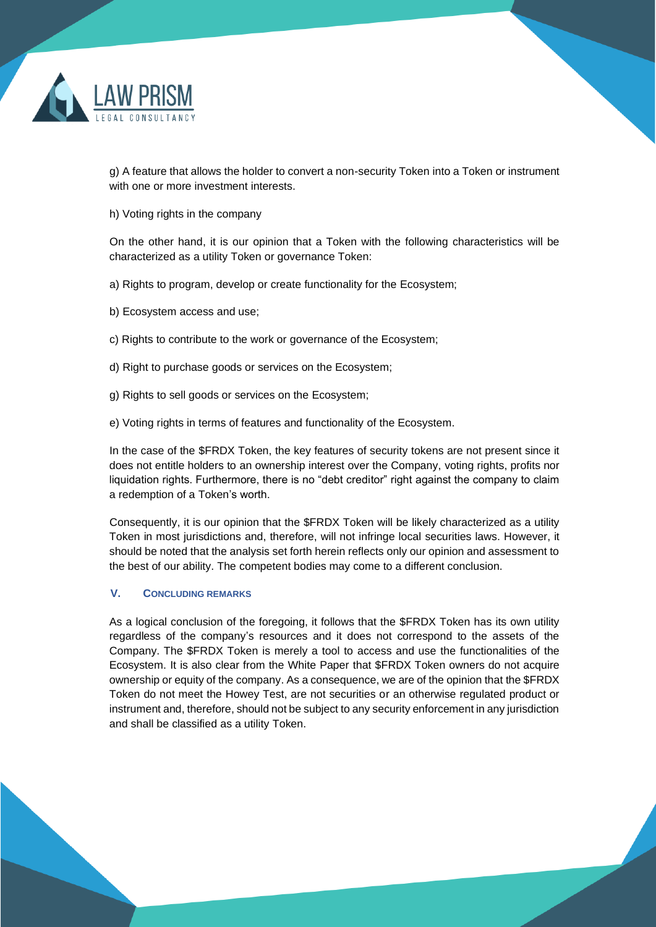

g) A feature that allows the holder to convert a non-security Token into a Token or instrument with one or more investment interests.

h) Voting rights in the company

On the other hand, it is our opinion that a Token with the following characteristics will be characterized as a utility Token or governance Token:

a) Rights to program, develop or create functionality for the Ecosystem;

- b) Ecosystem access and use;
- c) Rights to contribute to the work or governance of the Ecosystem;
- d) Right to purchase goods or services on the Ecosystem;
- g) Rights to sell goods or services on the Ecosystem;
- e) Voting rights in terms of features and functionality of the Ecosystem.

In the case of the \$FRDX Token, the key features of security tokens are not present since it does not entitle holders to an ownership interest over the Company, voting rights, profits nor liquidation rights. Furthermore, there is no "debt creditor" right against the company to claim a redemption of a Token's worth.

Consequently, it is our opinion that the \$FRDX Token will be likely characterized as a utility Token in most jurisdictions and, therefore, will not infringe local securities laws. However, it should be noted that the analysis set forth herein reflects only our opinion and assessment to the best of our ability. The competent bodies may come to a different conclusion.

#### <span id="page-8-0"></span>**V. CONCLUDING REMARKS**

As a logical conclusion of the foregoing, it follows that the \$FRDX Token has its own utility regardless of the company's resources and it does not correspond to the assets of the Company. The \$FRDX Token is merely a tool to access and use the functionalities of the Ecosystem. It is also clear from the White Paper that \$FRDX Token owners do not acquire ownership or equity of the company. As a consequence, we are of the opinion that the \$FRDX Token do not meet the Howey Test, are not securities or an otherwise regulated product or instrument and, therefore, should not be subject to any security enforcement in any jurisdiction and shall be classified as a utility Token.